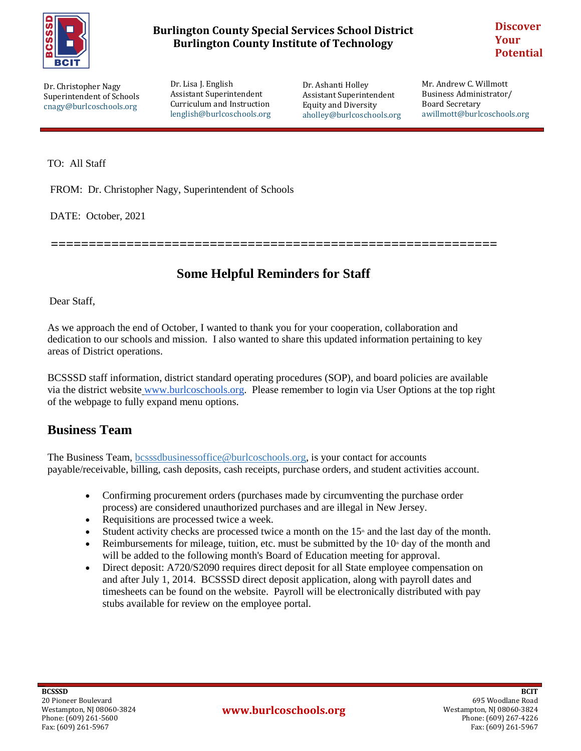

#### **Burlington County Special Services School District Burlington County Institute of Technology**

**Discover Your Potential**

Dr. Christopher Nagy Superintendent of Schools cnagy@burlcoschools.org Dr. Lisa J. English Assistant Superintendent Curriculum and Instruction lenglish@burlcoschools.org

Dr. Ashanti Holley Assistant Superintendent Equity and Diversity aholley@burlcoschools.org Mr. Andrew C. Willmott Business Administrator/ Board Secretary awillmott@burlcoschools.org

TO: All Staff

Type to enter the text of the text of the text of the text of the text of the text of the text of the text of

FROM: Dr. Christopher Nagy, Superintendent of Schools

DATE: October, 2021

**===========================================================**

## **Some Helpful Reminders for Staff**

Dear Staff,

As we approach the end of October, I wanted to thank you for your cooperation, collaboration and dedication to our schools and mission. I also wanted to share this updated information pertaining to key areas of District operations.

BCSSSD staff information, district standard operating procedures (SOP), and board policies are available via the district website [www.burlcoschools.org.](http://www.burlcoschools.org/) Please remember to login via User Options at the top right of the webpage to fully expand menu options.

#### **Business Team**

The Business Team, bcsssdbusinessoffice@burlcoschools.org, is your contact for accounts payable/receivable, billing, cash deposits, cash receipts, purchase orders, and student activities account.

- Confirming procurement orders (purchases made by circumventing the purchase order process) are considered unauthorized purchases and are illegal in New Jersey.
- Requisitions are processed twice a week.
- Student activity checks are processed twice a month on the  $15<sup>*</sup>$  and the last day of the month.
- **•** Reimbursements for mileage, tuition, etc. must be submitted by the  $10<sup>th</sup>$  day of the month and will be added to the following month's Board of Education meeting for approval.
- Direct deposit: A720/S2090 requires direct deposit for all State employee compensation on and after July 1, 2014. BCSSSD direct deposit application, along with payroll dates and timesheets can be found on the website. Payroll will be electronically distributed with pay stubs available for review on the employee portal.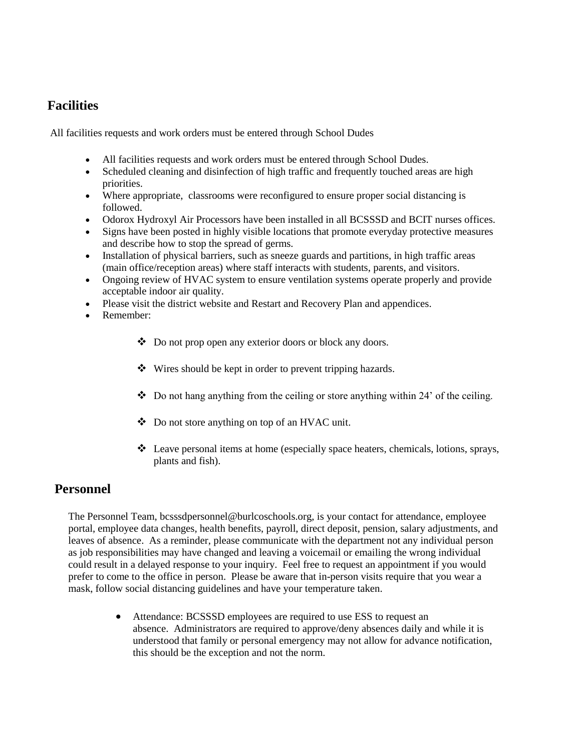### **Facilities**

All facilities requests and work orders must be entered through School Dudes

- All facilities requests and work orders must be entered through School Dudes.
- Scheduled cleaning and disinfection of high traffic and frequently touched areas are high priorities.
- Where appropriate, classrooms were reconfigured to ensure proper social distancing is followed.
- Odorox Hydroxyl Air Processors have been installed in all BCSSSD and BCIT nurses offices.
- Signs have been posted in highly visible locations that promote everyday protective measures and describe how to stop the spread of germs.
- Installation of physical barriers, such as sneeze guards and partitions, in high traffic areas (main office/reception areas) where staff interacts with students, parents, and visitors.
- Ongoing review of HVAC system to ensure ventilation systems operate properly and provide acceptable indoor air quality.
- Please visit the district website and Restart and Recovery Plan and appendices.
- Remember:
	- Do not prop open any exterior doors or block any doors.
	- Wires should be kept in order to prevent tripping hazards.
	- $\bullet$  Do not hang anything from the ceiling or store anything within 24' of the ceiling.
	- Do not store anything on top of an HVAC unit.
	- Leave personal items at home (especially space heaters, chemicals, lotions, sprays, plants and fish).

#### **Personnel**

The Personnel Team, bcsssdpersonnel@burlcoschools.org, is your contact for attendance, employee portal, employee data changes, health benefits, payroll, direct deposit, pension, salary adjustments, and leaves of absence. As a reminder, please communicate with the department not any individual person as job responsibilities may have changed and leaving a voicemail or emailing the wrong individual could result in a delayed response to your inquiry. Feel free to request an appointment if you would prefer to come to the office in person. Please be aware that in-person visits require that you wear a mask, follow social distancing guidelines and have your temperature taken.

> Attendance: BCSSSD employees are required to use ESS to request an absence. Administrators are required to approve/deny absences daily and while it is understood that family or personal emergency may not allow for advance notification, this should be the exception and not the norm.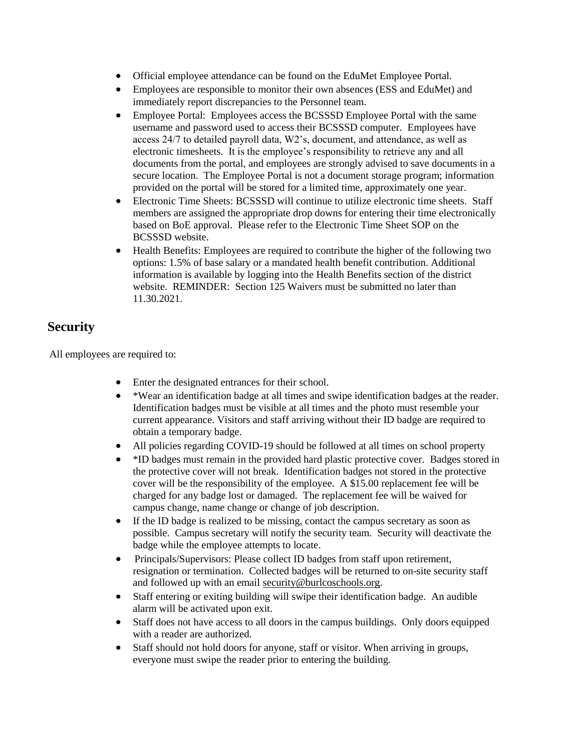- Official employee attendance can be found on the EduMet Employee Portal.
- Employees are responsible to monitor their own absences (ESS and EduMet) and immediately report discrepancies to the Personnel team.
- Employee Portal: Employees access the BCSSSD Employee Portal with the same username and password used to access their BCSSSD computer. Employees have access 24/7 to detailed payroll data, W2's, document, and attendance, as well as electronic timesheets. It is the employee's responsibility to retrieve any and all documents from the portal, and employees are strongly advised to save documents in a secure location. The Employee Portal is not a document storage program; information provided on the portal will be stored for a limited time, approximately one year.
- Electronic Time Sheets: BCSSSD will continue to utilize electronic time sheets. Staff members are assigned the appropriate drop downs for entering their time electronically based on BoE approval. Please refer to the Electronic Time Sheet SOP on the BCSSSD website.
- Health Benefits: Employees are required to contribute the higher of the following two options: 1.5% of base salary or a mandated health benefit contribution. Additional information is available by logging into the Health Benefits section of the district website. REMINDER: Section 125 Waivers must be submitted no later than 11.30.2021.

# **Security**

All employees are required to:

- Enter the designated entrances for their school.
- \*Wear an identification badge at all times and swipe identification badges at the reader. Identification badges must be visible at all times and the photo must resemble your current appearance. Visitors and staff arriving without their ID badge are required to obtain a temporary badge.
- All policies regarding COVID-19 should be followed at all times on school property
- \*ID badges must remain in the provided hard plastic protective cover. Badges stored in the protective cover will not break. Identification badges not stored in the protective cover will be the responsibility of the employee. A \$15.00 replacement fee will be charged for any badge lost or damaged. The replacement fee will be waived for campus change, name change or change of job description.
- If the ID badge is realized to be missing, contact the campus secretary as soon as possible. Campus secretary will notify the security team. Security will deactivate the badge while the employee attempts to locate.
- Principals/Supervisors: Please collect ID badges from staff upon retirement, resignation or termination. Collected badges will be returned to on-site security staff and followed up with an email [security@burlcoschools.org.](mailto:security@burlcoschools.org)
- Staff entering or exiting building will swipe their identification badge. An audible alarm will be activated upon exit.
- Staff does not have access to all doors in the campus buildings. Only doors equipped with a reader are authorized.
- Staff should not hold doors for anyone, staff or visitor. When arriving in groups, everyone must swipe the reader prior to entering the building.